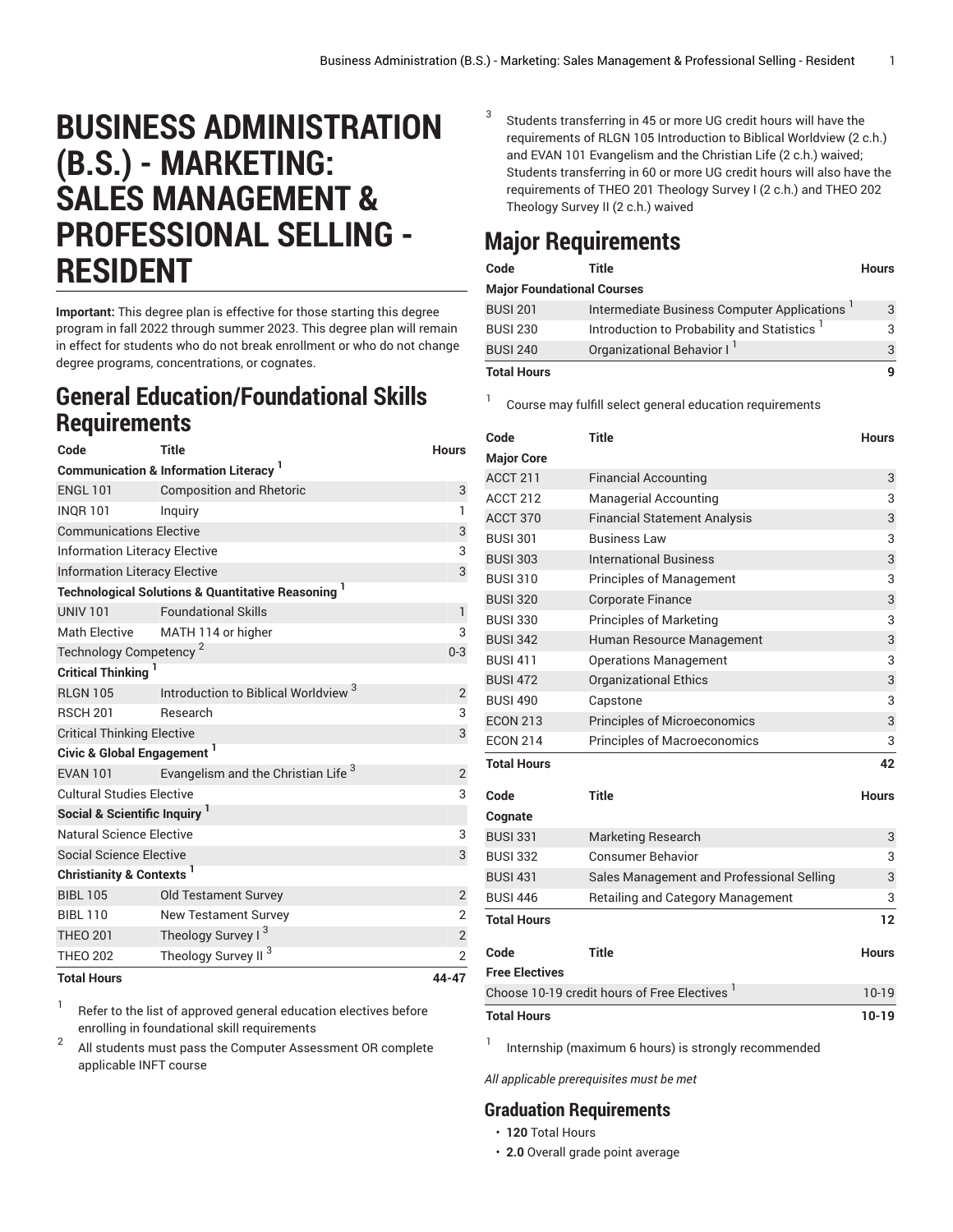## **BUSINESS ADMINISTRATION (B.S.) - MARKETING: SALES MANAGEMENT & PROFESSIONAL SELLING - RESIDENT**

**Important:** This degree plan is effective for those starting this degree program in fall 2022 through summer 2023. This degree plan will remain in effect for students who do not break enrollment or who do not change degree programs, concentrations, or cognates.

## **General Education/Foundational Skills Requirements**

| Code                                                         | <b>Title</b>                                                  | <b>Hours</b>   |  |  |
|--------------------------------------------------------------|---------------------------------------------------------------|----------------|--|--|
| <b>Communication &amp; Information Literacy</b> <sup>1</sup> |                                                               |                |  |  |
| <b>ENGL 101</b>                                              | <b>Composition and Rhetoric</b>                               | 3              |  |  |
| <b>INQR101</b>                                               | Inquiry                                                       | $\mathbf{1}$   |  |  |
| <b>Communications Elective</b>                               | 3                                                             |                |  |  |
| <b>Information Literacy Elective</b>                         | 3                                                             |                |  |  |
| <b>Information Literacy Elective</b>                         | 3                                                             |                |  |  |
|                                                              | <b>Technological Solutions &amp; Quantitative Reasoning</b> 1 |                |  |  |
| <b>UNIV 101</b>                                              | <b>Foundational Skills</b>                                    | $\mathbf{1}$   |  |  |
| <b>Math Elective</b>                                         | MATH 114 or higher                                            | 3              |  |  |
| Technology Competency <sup>2</sup>                           |                                                               | $0 - 3$        |  |  |
| <b>Critical Thinking</b>                                     |                                                               |                |  |  |
| <b>RLGN 105</b>                                              | Introduction to Biblical Worldview <sup>3</sup>               | $\overline{2}$ |  |  |
| <b>RSCH 201</b>                                              | Research                                                      | 3              |  |  |
| <b>Critical Thinking Elective</b>                            | 3                                                             |                |  |  |
| Civic & Global Engagement <sup>1</sup>                       |                                                               |                |  |  |
| <b>EVAN 101</b>                                              | Evangelism and the Christian Life <sup>3</sup>                | $\overline{2}$ |  |  |
| <b>Cultural Studies Elective</b>                             |                                                               |                |  |  |
| Social & Scientific Inquiry <sup>1</sup>                     |                                                               |                |  |  |
| Natural Science Elective                                     |                                                               |                |  |  |
| Social Science Elective                                      |                                                               | 3              |  |  |
| Christianity & Contexts <sup>1</sup>                         |                                                               |                |  |  |
| <b>BIBL 105</b>                                              | <b>Old Testament Survey</b>                                   | $\overline{2}$ |  |  |
| <b>BIBL 110</b>                                              | <b>New Testament Survey</b>                                   | $\overline{2}$ |  |  |
| <b>THEO 201</b>                                              | Theology Survey I <sup>3</sup>                                | $\mathbf{2}$   |  |  |
| <b>THEO 202</b>                                              | Theology Survey II <sup>3</sup>                               | $\overline{2}$ |  |  |
| <b>Total Hours</b>                                           | 44-47                                                         |                |  |  |

1 Refer to the list of approved general [education](https://www.liberty.edu/gened/) electives before enrolling in foundational skill requirements

2 All students must pass the [Computer Assessment](https://www.liberty.edu/computerassessment/) OR complete applicable INFT course

3 Students transferring in 45 or more UG credit hours will have the requirements of RLGN 105 Introduction to Biblical Worldview (2 c.h.) and EVAN 101 Evangelism and the Christian Life (2 c.h.) waived; Students transferring in 60 or more UG credit hours will also have the requirements of THEO 201 Theology Survey I (2 c.h.) and THEO 202 Theology Survey II (2 c.h.) waived

## **Major Requirements**

| Code                              | Title                                       | <b>Hours</b> |  |
|-----------------------------------|---------------------------------------------|--------------|--|
| <b>Major Foundational Courses</b> |                                             |              |  |
| <b>BUSI 201</b>                   | Intermediate Business Computer Applications | 3            |  |
| <b>BUSI 230</b>                   | Introduction to Probability and Statistics  | З            |  |
| <b>BUSI 240</b>                   | Organizational Behavior I <sup>1</sup>      | 3            |  |
| <b>Total Hours</b>                |                                             |              |  |

1 Course may fulfill select general education [requirements](http://www.liberty.edu/academics/generalstudies/?PID=37563)

| Code                                                     | <b>Title</b>                              | <b>Hours</b> |
|----------------------------------------------------------|-------------------------------------------|--------------|
| <b>Major Core</b>                                        |                                           |              |
| ACCT 211                                                 | <b>Financial Accounting</b>               | 3            |
| <b>ACCT 212</b>                                          | <b>Managerial Accounting</b>              | 3            |
| ACCT 370                                                 | <b>Financial Statement Analysis</b>       | 3            |
| <b>BUSI 301</b>                                          | <b>Business Law</b>                       | 3            |
| <b>BUSI 303</b>                                          | <b>International Business</b>             | 3            |
| <b>BUSI 310</b>                                          | <b>Principles of Management</b>           | 3            |
| <b>BUSI 320</b>                                          | <b>Corporate Finance</b>                  | 3            |
| <b>BUSI 330</b>                                          | <b>Principles of Marketing</b>            | 3            |
| <b>BUSI 342</b>                                          | Human Resource Management                 | 3            |
| <b>BUSI 411</b>                                          | <b>Operations Management</b>              | 3            |
| <b>BUSI 472</b>                                          | <b>Organizational Ethics</b>              | 3            |
| <b>BUSI 490</b>                                          | Capstone                                  | 3            |
| <b>ECON 213</b>                                          | <b>Principles of Microeconomics</b>       | 3            |
| <b>ECON 214</b>                                          | <b>Principles of Macroeconomics</b>       | 3            |
| <b>Total Hours</b>                                       |                                           | 42           |
| Code                                                     | <b>Title</b>                              | <b>Hours</b> |
| Cognate                                                  |                                           |              |
| <b>BUSI 331</b>                                          | <b>Marketing Research</b>                 | 3            |
| <b>BUSI 332</b>                                          | <b>Consumer Behavior</b>                  | 3            |
| <b>BUSI 431</b>                                          | Sales Management and Professional Selling | 3            |
| <b>BUSI 446</b>                                          | Retailing and Category Management         | 3            |
| <b>Total Hours</b>                                       |                                           | 12           |
| Code                                                     | <b>Title</b>                              | <b>Hours</b> |
| <b>Free Electives</b>                                    |                                           |              |
| Choose 10-19 credit hours of Free Electives <sup>1</sup> |                                           | $10-19$      |
| <b>Total Hours</b>                                       |                                           | $10 - 19$    |

1 Internship (maximum 6 hours) is strongly recommended

*All applicable prerequisites must be met*

## **Graduation Requirements**

- **120** Total Hours
- **2.0** Overall grade point average